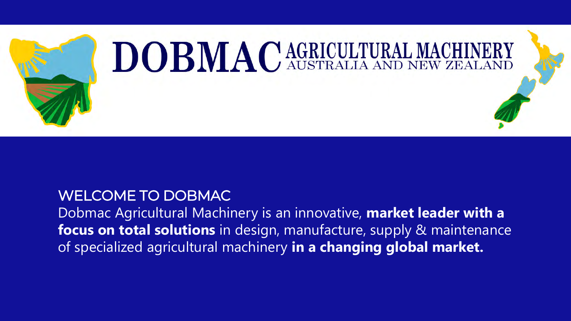

#### WELCOME TO DOBMAC

Dobmac Agricultural Machinery is an innovative, **market leader with a focus on total solutions** in design, manufacture, supply & maintenance of specialized agricultural machinery **in a changing global market.**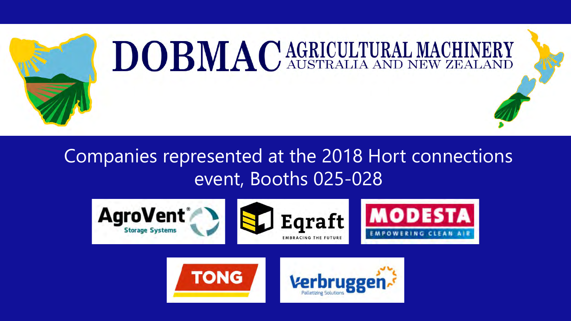

## Companies represented at the 2018 Hort connections event, Booths 025-028



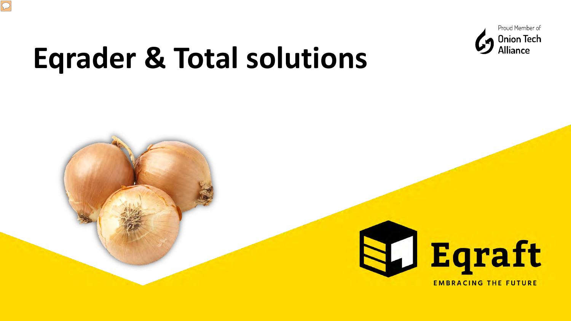

# **Eqrader & Total solutions**

 $\sqrt{2}$ 

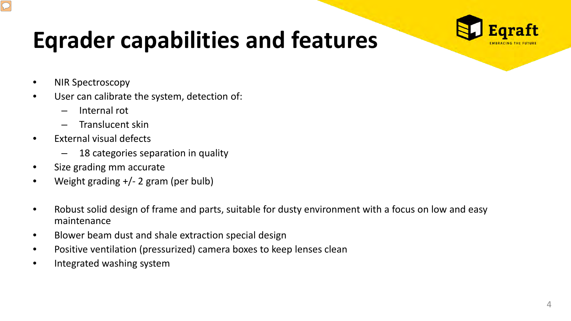

# **Eqrader capabilities and features**

• NIR Spectroscopy

 $\boxed{\mathcal{O}}$ 

- User can calibrate the system, detection of:
	- Internal rot
	- Translucent skin
- External visual defects
	- 18 categories separation in quality
- Size grading mm accurate
- Weight grading +/- 2 gram (per bulb)
- Robust solid design of frame and parts, suitable for dusty environment with a focus on low and easy maintenance
- Blower beam dust and shale extraction special design
- Positive ventilation (pressurized) camera boxes to keep lenses clean
- Integrated washing system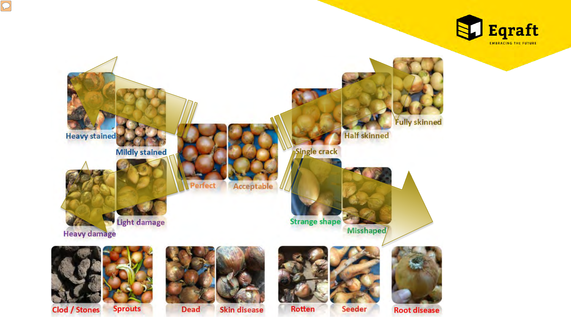

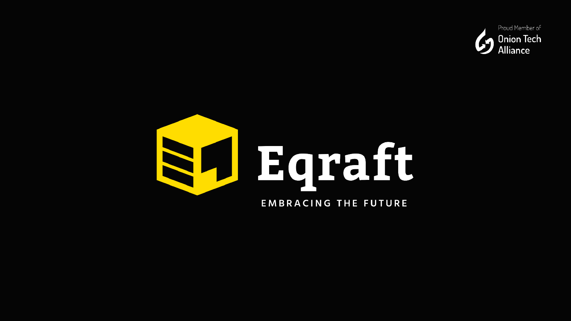

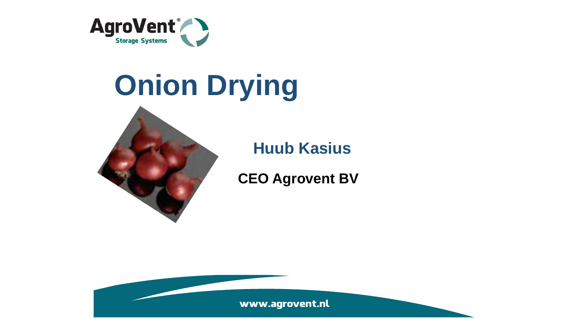

# **Onion Drying**



**Huub Kasius**

**CEO Agrovent BV**

www.agrovent.nl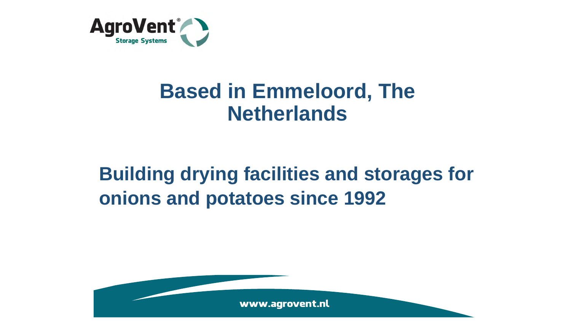

## **Based in Emmeloord, The Netherlands**

# **Building drying facilities and storages for onions and potatoes since 1992**

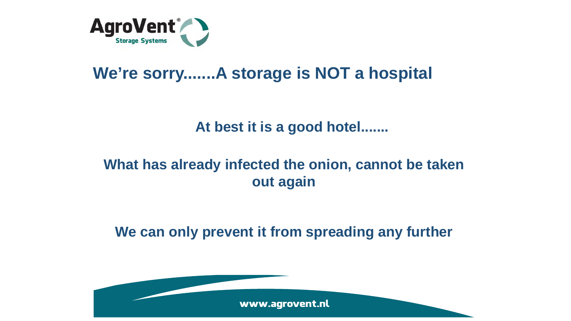

## **We're sorry.......A storage is NOT a hospital**

#### **At best it is a good hotel.......**

#### **What has already infected the onion, cannot be taken out again**

**We can only prevent it from spreading any further** 

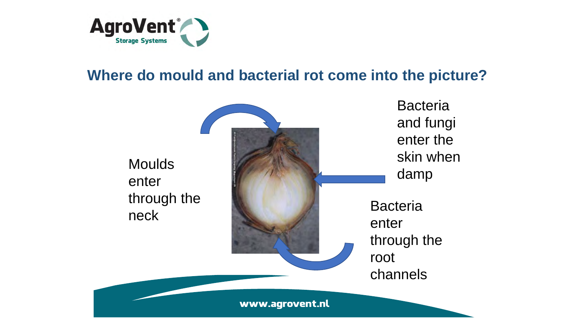

#### **Where do mould and bacterial rot come into the picture?**

**Moulds** enter through the

**Bacteria** and fungi enter the skin when dampneck Bacteria enter through the root channels www.agrovent.nl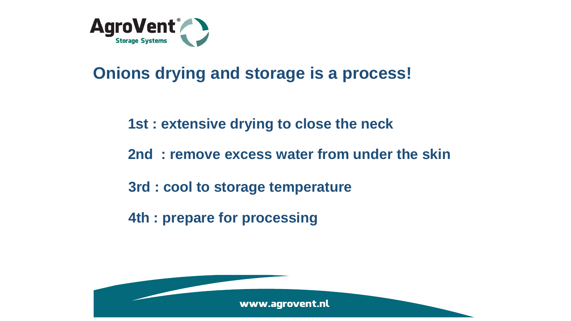

## **Onions drying and storage is a process!**

#### **1st : extensive drying to close the neck**

- **2nd : remove excess water from under the skin**
- **3rd : cool to storage temperature**
- **4th : prepare for processing**

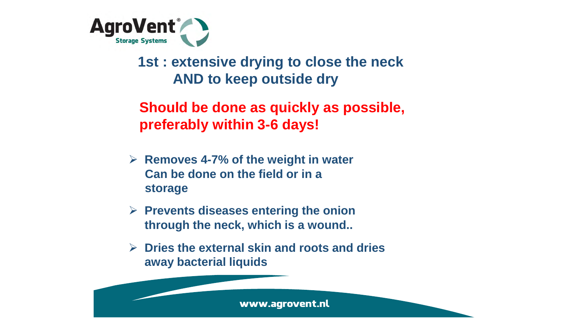

**1st : extensive drying to close the neck AND to keep outside dry**

**Should be done as quickly as possible, preferably within 3-6 days!**

- **Removes 4-7% of the weight in water Can be done on the field or in a storage**
- **Prevents diseases entering the onion through the neck, which is a wound..**
- **Dries the external skin and roots and dries away bacterial liquids**

www.agrovent.nl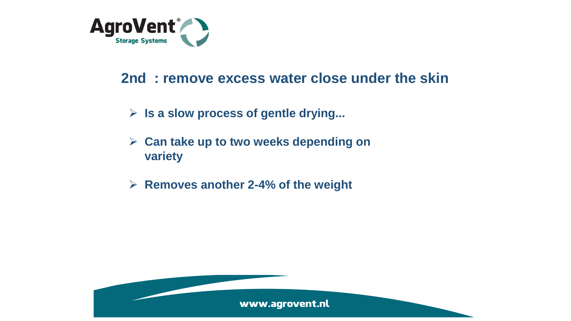

#### **2nd : remove excess water close under the skin**

- **Is a slow process of gentle drying...**
- **Can take up to two weeks depending on variety**
- **Removes another 2-4% of the weight**

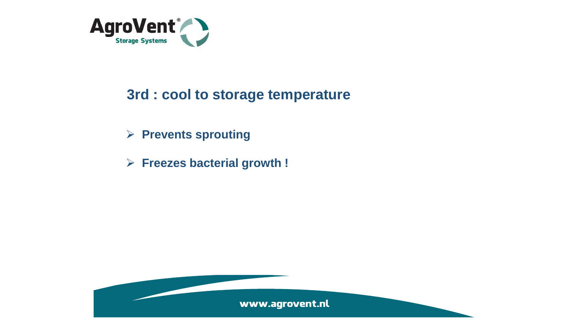

#### **3rd : cool to storage temperature**

- **Prevents sprouting**
- **Freezes bacterial growth !**

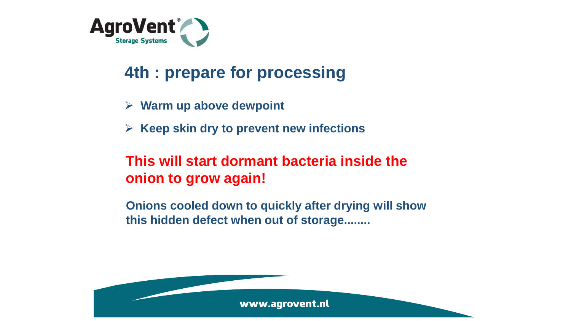

## **4th : prepare for processing**

- **Warm up above dewpoint**
- **EXA Keep skin dry to prevent new infections**

#### **This will start dormant bacteria inside the onion to grow again!**

**Onions cooled down to quickly after drying will show this hidden defect when out of storage........**

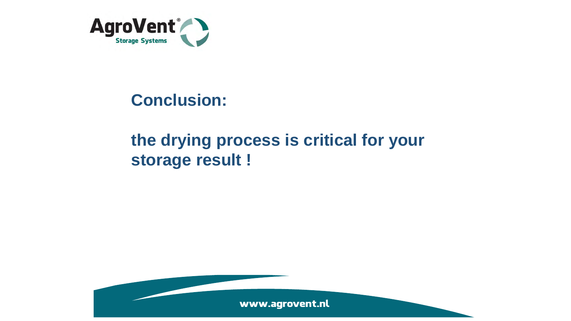

## **Conclusion:**

## **the drying process is critical for your storage result !**

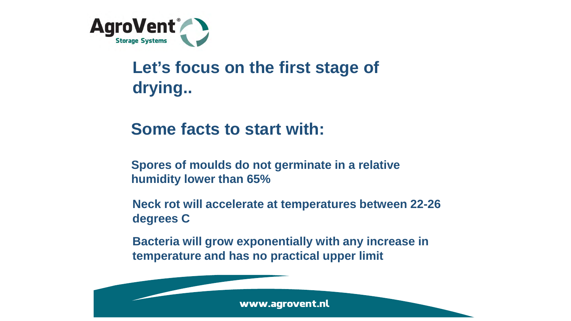

## **Let's focus on the first stage of drying..**

### **Some facts to start with:**

**Spores of moulds do not germinate in a relative humidity lower than 65%**

**Neck rot will accelerate at temperatures between 22-26 degrees C**

**Bacteria will grow exponentially with any increase in temperature and has no practical upper limit**

www.agrovent.nl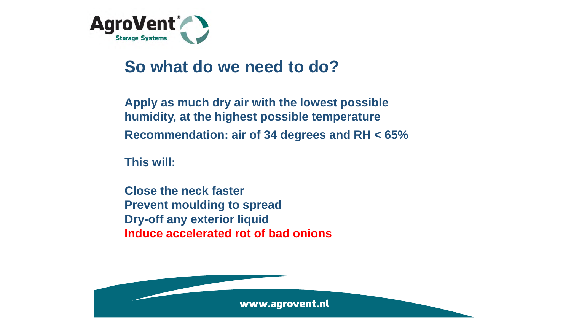

### **So what do we need to do?**

**Apply as much dry air with the lowest possible humidity, at the highest possible temperature Recommendation: air of 34 degrees and RH < 65%**

**This will:**

**Close the neck faster Prevent moulding to spread Dry-off any exterior liquid Induce accelerated rot of bad onions**

www.agrovent.nl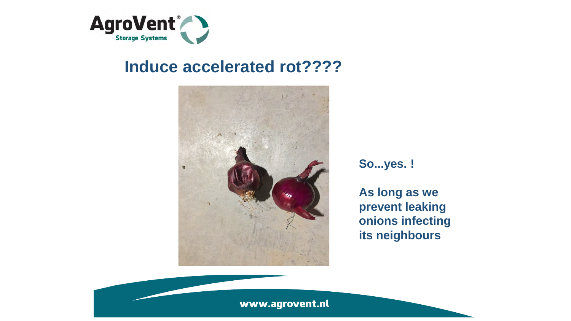

#### **Induce accelerated rot????**



**So...yes. !**

**As long as we prevent leaking onions infecting its neighbours**

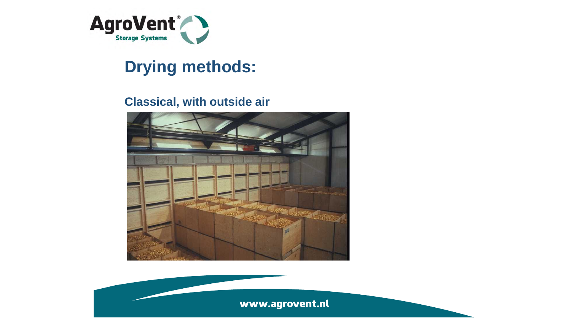

## **Drying methods:**

#### **Classical, with outside air**



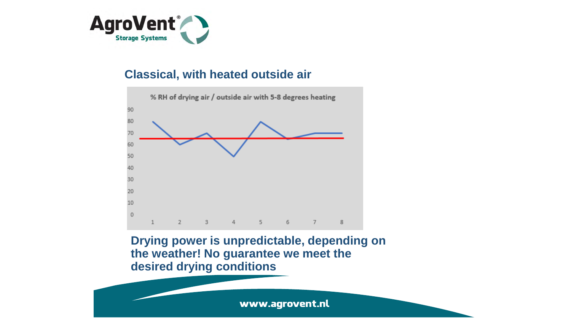

#### **Classical, with heated outside air**



**Drying power is unpredictable, depending on the weather! No guarantee we meet the desired drying conditions**

www.agrovent.nl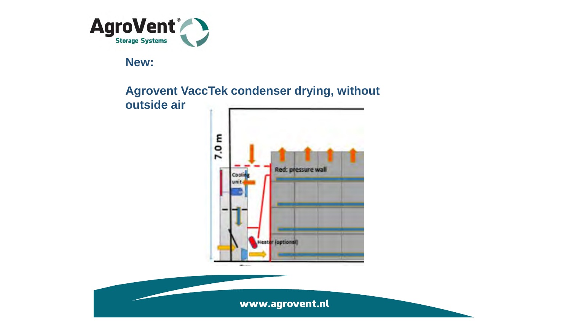

**New:** 

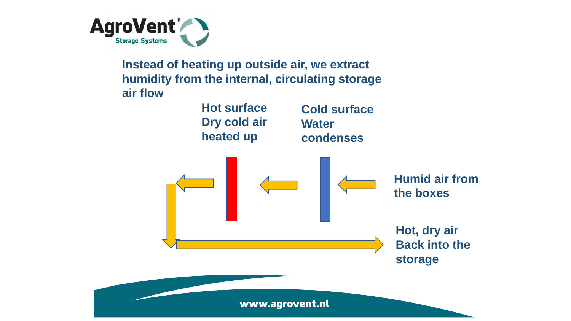

**Instead of heating up outside air, we extract humidity from the internal, circulating storage air flow**

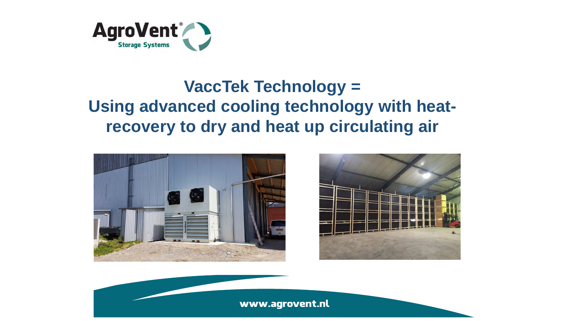

## **VaccTek Technology = Using advanced cooling technology with heatrecovery to dry and heat up circulating air**





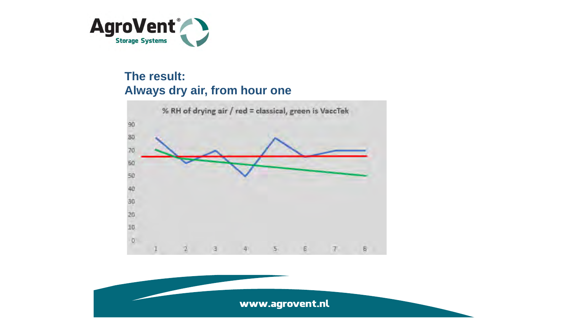

#### **The result: Always dry air, from hour one**



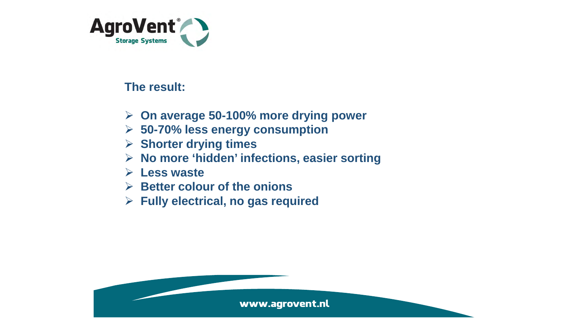

#### **The result:**

- **On average 50-100% more drying power**
- **50-70% less energy consumption**
- **Shorter drying times**
- **No more 'hidden' infections, easier sorting**
- **Less waste**
- **Better colour of the onions**
- **Fully electrical, no gas required**

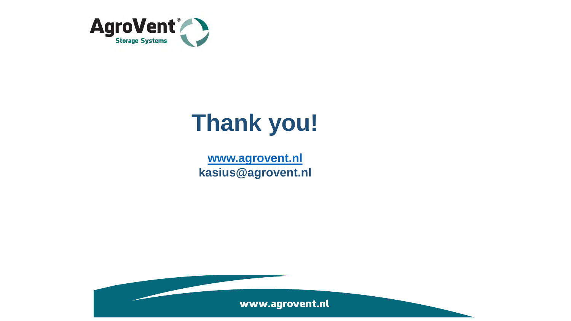

# **Thank you!**

**[www.agrovent.nl](http://www.agrovent.nl/) kasius@agrovent.nl**